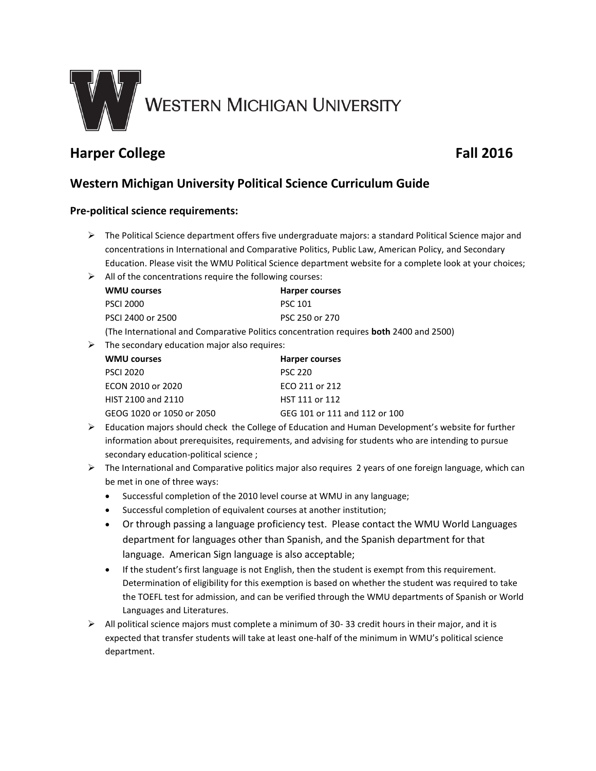

# **Harper College Fall 2016**

## **Western Michigan University Political Science Curriculum Guide**

## **Pre-political science requirements:**

- $\triangleright$  The Political Science department offers five undergraduate majors: a standard Political Science major and concentrations in International and Comparative Politics, Public Law, American Policy, and Secondary Education. Please visit the WMU Political Science department website for a complete look at your choices;
- $\triangleright$  All of the concentrations require the following courses:

| <b>WMU courses</b>                                                                            | Harper courses |
|-----------------------------------------------------------------------------------------------|----------------|
| <b>PSCI 2000</b>                                                                              | <b>PSC 101</b> |
| PSCI 2400 or 2500                                                                             | PSC 250 or 270 |
| (The International and Comparative Politics concentration requires <b>both</b> 2400 and 2500) |                |

 $\triangleright$  The secondary education major also requires:

| <b>WMU courses</b>        | <b>Harper courses</b>         |
|---------------------------|-------------------------------|
| <b>PSCI 2020</b>          | <b>PSC 220</b>                |
| ECON 2010 or 2020         | ECO 211 or 212                |
| HIST 2100 and 2110        | HST 111 or 112                |
| GEOG 1020 or 1050 or 2050 | GEG 101 or 111 and 112 or 100 |

- $\triangleright$  Education majors should check the College of Education and Human Development's website for further information about prerequisites, requirements, and advising for students who are intending to pursue secondary education-political science ;
- $\triangleright$  The International and Comparative politics major also requires 2 years of one foreign language, which can be met in one of three ways:
	- Successful completion of the 2010 level course at WMU in any language;
	- Successful completion of equivalent courses at another institution;
	- Or through passing a language proficiency test. Please contact the WMU World Languages department for languages other than Spanish, and the Spanish department for that language. American Sign language is also acceptable;
	- If the student's first language is not English, then the student is exempt from this requirement. Determination of eligibility for this exemption is based on whether the student was required to take the TOEFL test for admission, and can be verified through the WMU departments of Spanish or World Languages and Literatures.
- $\triangleright$  All political science majors must complete a minimum of 30-33 credit hours in their major, and it is expected that transfer students will take at least one-half of the minimum in WMU's political science department.